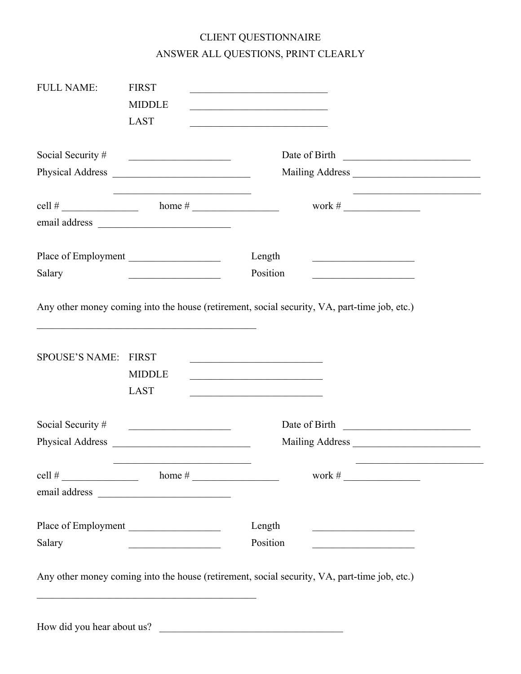## CLIENT QUESTIONNAIRE ANSWER ALL QUESTIONS, PRINT CLEARLY

| <b>FULL NAME:</b>     | <b>FIRST</b>                                                                                                         | the control of the control of the control of the control of the control of the control of                                                                                                                              |
|-----------------------|----------------------------------------------------------------------------------------------------------------------|------------------------------------------------------------------------------------------------------------------------------------------------------------------------------------------------------------------------|
|                       | <b>MIDDLE</b>                                                                                                        | <u> 1989 - Johann Barbara, martxa alemani</u> ar a                                                                                                                                                                     |
|                       | <b>LAST</b>                                                                                                          |                                                                                                                                                                                                                        |
| Social Security #     |                                                                                                                      | Date of Birth                                                                                                                                                                                                          |
|                       |                                                                                                                      |                                                                                                                                                                                                                        |
|                       |                                                                                                                      | work # $\qquad$                                                                                                                                                                                                        |
|                       |                                                                                                                      |                                                                                                                                                                                                                        |
|                       | Place of Employment                                                                                                  | Length<br><u> 1989 - Johann Barbara, martxa alemani</u> ar a                                                                                                                                                           |
| Salary                | <u> 1989 - Johann Barn, fransk politik a</u>                                                                         | Position<br><u> 1980 - Johann Barn, mars an t-Amerikaansk kommunister (</u>                                                                                                                                            |
| <b>SPOUSE'S NAME:</b> | <b>FIRST</b><br><b>MIDDLE</b><br><b>LAST</b>                                                                         | <u> 1989 - Johann Barbara, martxa alemaniar amerikan a</u><br>the control of the control of the control of the control of the control of<br>the control of the control of the control of the control of the control of |
| Social Security #     | <u> 1980 - Jan Stein Stein Stein Stein Stein Stein Stein Stein Stein Stein Stein Stein Stein Stein Stein Stein S</u> | Date of Birth                                                                                                                                                                                                          |
| Physical Address      |                                                                                                                      |                                                                                                                                                                                                                        |
|                       |                                                                                                                      | work # $\frac{1}{\sqrt{2\pi}}$                                                                                                                                                                                         |
|                       |                                                                                                                      |                                                                                                                                                                                                                        |
|                       | Place of Employment                                                                                                  | Length                                                                                                                                                                                                                 |
| Salary                | <u> 1989 - Johann Stoff, fransk politik (d. 1989)</u>                                                                | Position<br><u> 1989 - Johann John Stone, market fransk konge</u>                                                                                                                                                      |
|                       | and the control of the control of the control of the control of the control of the control of the control of the     | Any other money coming into the house (retirement, social security, VA, part-time job, etc.)                                                                                                                           |
|                       |                                                                                                                      | How did you hear about us?                                                                                                                                                                                             |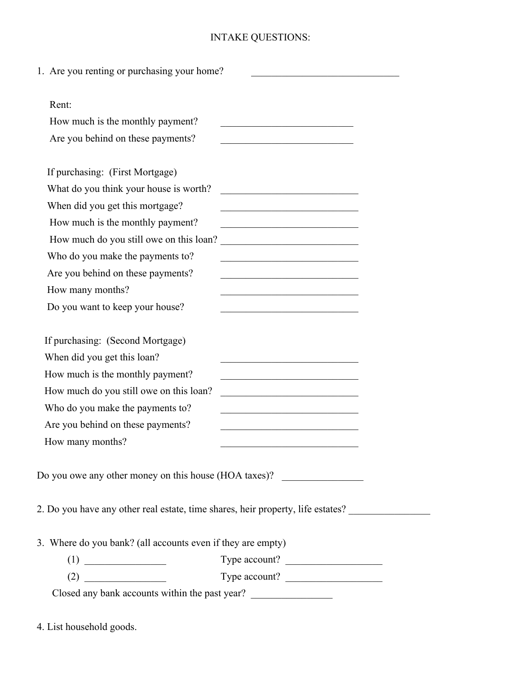## INTAKE QUESTIONS:

| 1. Are you renting or purchasing your home?                 |                                                                                                                       |
|-------------------------------------------------------------|-----------------------------------------------------------------------------------------------------------------------|
| Rent:                                                       |                                                                                                                       |
| How much is the monthly payment?                            |                                                                                                                       |
| Are you behind on these payments?                           |                                                                                                                       |
| If purchasing: (First Mortgage)                             |                                                                                                                       |
| What do you think your house is worth?                      | <u> 1989 - Johann John Stone, martin de Brasilia (h. 1989).</u>                                                       |
| When did you get this mortgage?                             | the control of the control of the control of the control of the control of                                            |
| How much is the monthly payment?                            | the control of the control of the control of the control of the control of the control of                             |
| How much do you still owe on this loan?                     | <u> 1989 - Johann John Stone, mars eta bat eta bat eta bat eta bat eta bat eta bat eta bat eta bat eta bat eta b</u>  |
| Who do you make the payments to?                            |                                                                                                                       |
| Are you behind on these payments?                           |                                                                                                                       |
| How many months?                                            |                                                                                                                       |
| Do you want to keep your house?                             | <u> 1990 - Johann John Stoff, market fransk konge</u>                                                                 |
|                                                             |                                                                                                                       |
| If purchasing: (Second Mortgage)                            |                                                                                                                       |
| When did you get this loan?                                 | <u> 1989 - Johann Barn, mars eta inperiodor eta inperiodor eta inperiodor eta inperiodor eta inperiodor eta inper</u> |
| How much is the monthly payment?                            | the control of the control of the control of the control of the control of                                            |
| How much do you still owe on this loan?                     | <u> 1989 - Johann John Stoff, deutscher Stoffen und der Stoffen und der Stoffen und der Stoffen und der Stoffen</u>   |
| Who do you make the payments to?                            | the control of the control of the control of the control of the control of                                            |
| Are you behind on these payments?                           |                                                                                                                       |
| How many months?                                            |                                                                                                                       |
| Do you owe any other money on this house (HOA taxes)?       |                                                                                                                       |
|                                                             |                                                                                                                       |
|                                                             | 2. Do you have any other real estate, time shares, heir property, life estates?                                       |
|                                                             |                                                                                                                       |
| 3. Where do you bank? (all accounts even if they are empty) |                                                                                                                       |
|                                                             | Type account?                                                                                                         |
|                                                             | Type account?                                                                                                         |
| Closed any bank accounts within the past year?              |                                                                                                                       |

4. List household goods.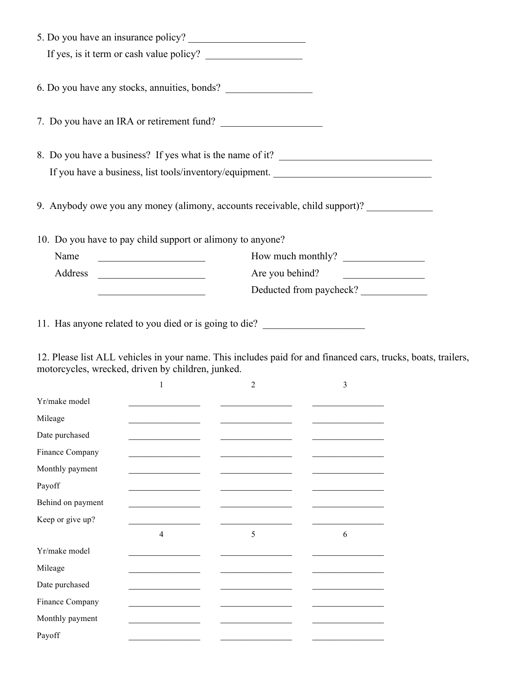| 5. Do you have an insurance policy?                                               |                         |
|-----------------------------------------------------------------------------------|-------------------------|
|                                                                                   |                         |
| 6. Do you have any stocks, annuities, bonds?                                      |                         |
| 7. Do you have an IRA or retirement fund?                                         |                         |
| 8. Do you have a business? If yes what is the name of it?                         |                         |
| If you have a business, list tools/inventory/equipment. _________________________ |                         |
| 9. Anybody owe you any money (alimony, accounts receivable, child support)?       |                         |
| 10. Do you have to pay child support or alimony to anyone?                        |                         |
| Name<br><u> 1989 - Johann Barn, mars ann an t-Amhain</u>                          | How much monthly?       |
| Address                                                                           | Are you behind?         |
| <u> 1989 - Johann Barbara, martin a</u>                                           | Deducted from paycheck? |
| 11. Has anyone related to you died or is going to die?                            |                         |

12. Please list ALL vehicles in your name. This includes paid for and financed cars, trucks, boats, trailers, motorcycles, wrecked, driven by children, junked.

|                   | 1                                                                                                                                                                                                                                    | $\overline{2}$ | 3                                            |
|-------------------|--------------------------------------------------------------------------------------------------------------------------------------------------------------------------------------------------------------------------------------|----------------|----------------------------------------------|
| Yr/make model     |                                                                                                                                                                                                                                      |                |                                              |
| Mileage           |                                                                                                                                                                                                                                      |                |                                              |
| Date purchased    | the control of the control of the control of                                                                                                                                                                                         |                |                                              |
| Finance Company   | the control of the control of the control of the control of the control of the control of                                                                                                                                            |                | the control of the control of the control of |
| Monthly payment   | the control of the control of the control of                                                                                                                                                                                         |                |                                              |
| Payoff            | the control of the control of the control of                                                                                                                                                                                         |                |                                              |
| Behind on payment |                                                                                                                                                                                                                                      |                |                                              |
| Keep or give up?  |                                                                                                                                                                                                                                      |                |                                              |
|                   | $\overline{4}$                                                                                                                                                                                                                       | 5              | 6                                            |
| Yr/make model     |                                                                                                                                                                                                                                      |                |                                              |
| Mileage           |                                                                                                                                                                                                                                      |                |                                              |
| Date purchased    |                                                                                                                                                                                                                                      |                |                                              |
| Finance Company   | <u> 1989 - Johann John Stoff, deutscher Stoffen und der Stoffen und der Stoffen und der Stoffen und der Stoffen und der Stoffen und der Stoffen und der Stoffen und der Stoffen und der Stoffen und der Stoffen und der Stoffen </u> |                |                                              |
| Monthly payment   |                                                                                                                                                                                                                                      |                |                                              |
| Payoff            |                                                                                                                                                                                                                                      |                |                                              |